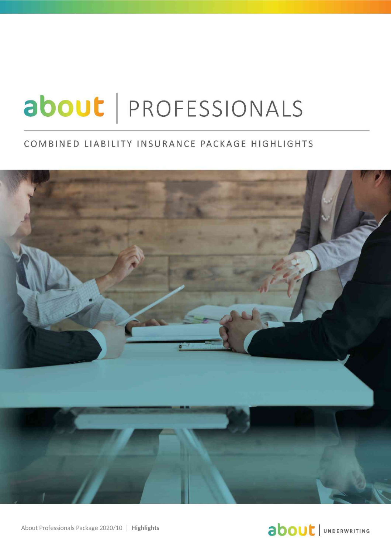# about | PROFESSIONALS

#### COMBINED LIABILITY INSURANCE PACKAGE HIGHLIGHTS



## **about** JUNDERWRITING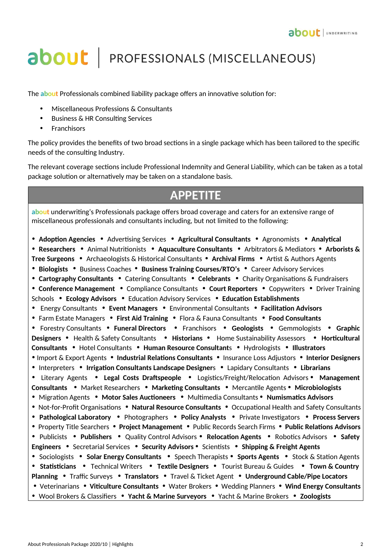## **about** | PROFESSIONALS (MISCELLANEOUS)

The **about** Professionals combined liability package offers an innovative solution for:

- Miscellaneous Professions & Consultants
- Business & HR Consulting Services
- **Franchisors**

The policy provides the benefits of two broad sections in a single package which has been tailored to the specific needs of the consulting Industry.

The relevant coverage sections include Professional Indemnity and General Liability, which can be taken as a total package solution or alternatively may be taken on a standalone basis.

### **APPETITE**

**about** underwriting's Professionals package offers broad coverage and caters for an extensive range of miscellaneous professionals and consultants including, but not limited to the following:

• **Adoption Agencies** • Advertising Services• **Agricultural Consultants** • Agronomists • **Analytical**  • **Researchers** • Animal Nutritionists • **Aquaculture Consultants** • Arbitrators & Mediators • **Arborists & Tree Surgeons** • Archaeologists & Historical Consultants • **Archival Firms** • Artist & Authors Agents • **Biologists** • Business Coaches • **Business Training Courses/RTO's** • Career Advisory Services • **Cartography Consultants** • Catering Consultants• **Celebrants** • Charity Organisations & Fundraisers • **Conference Management** • Compliance Consultants • **Court Reporters** • Copywriters• Driver Training Schools• **Ecology Advisors** • Education Advisory Services• **Education Establishments**  • Energy Consultants • **Event Managers** • Environmental Consultants• **Facilitation Advisors**  • Farm Estate Managers • **First Aid Training** • Flora & Fauna Consultants • **Food Consultants** • Forestry Consultants • **Funeral Directors** • Franchisors• **Geologists** • Gemmologists • **Graphic Designers** • Health & Safety Consultants• **Historians** • Home Sustainability Assessors • **Horticultural Consultants** • Hotel Consultants • **Human Resource Consultant**s • Hydrologists• **Illustrators** • Import & Export Agents • **Industrial Relations Consultants** • Insurance Loss Adjustors • **Interior Designers** • Interpreters • **Irrigation Consultants Landscape Designer**s • Lapidary Consultants • **Librarians** • Literary Agents • **Legal Costs Draftspeople** • Logistics/Freight/Relocation Advisors • **Management Consultants** • Market Researchers • **Marketing Consultants** • Mercantile Agents • **Microbiologists** • Migration Agents • **Motor Sales Auctioneers** • Multimedia Consultants • **Numismatics Advisors** • Not-for-Profit Organisations • **Natural Resource Consultants** • Occupational Health and Safety Consultants • **Pathological Laboratory** • Photographers • **Policy Analysts** • Private Investigators • **Process Servers** • Property Title Searchers • **Project Management** • Public Records Search Firms • **Public Relations Advisors**  • Publicists • **Publishers** • Quality Control Advisors • **Relocation Agents** • Robotics Advisors• **Safety Engineers** • Secretarial Services • **Security Advisors** • Scientists • **Shipping & Freight Agents** • Sociologists • **Solar Energy Consultants** • Speech Therapists • **Sports Agents** • Stock & Station Agents • **Statisticians** • Technical Writers • **Textile Designers** • Tourist Bureau & Guides • **Town & Country Planning** • Traffic Surveys • **Translators** • Travel & Ticket Agent• **Underground Cable/Pipe Locators**  • Veterinarians • **Viticulture Consultants** • Water Brokers • Wedding Planners • **Wind Energy Consultants** • Wool Brokers & Classifiers• **Yacht & Marine Surveyors** • Yacht & Marine Brokers• **Zoologists**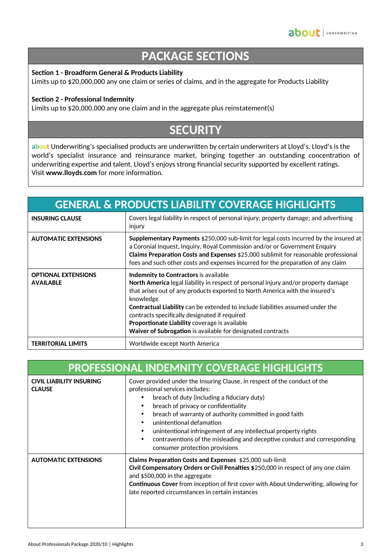## **PACKAGE SECTIONS**

#### **Section 1 - Broadform General & Products Liability**

Limits up to \$20,000,000 any one claim or series of claims, and in the aggregate for Products Liability

#### **Section 2 - Professional Indemnity**

Limits up to \$20,000,000 any one claim and in the aggregate plus reinstatement(s)

## **SECURITY**

**about** Underwriting's specialised products are underwritten by certain underwriters at Lloyd's. Lloyd's is the world's specialist insurance and reinsurance market, bringing together an outstanding concentration of underwriting expertise and talent. Lloyd's enjoys strong financial security supported by excellent ratings. Visit **www.lloyds.com** for more information.

| <b>GENERAL &amp; PRODUCTS LIABILITY COVERAGE HIGHLIGHTS</b> |                                                                                                                                                                                                                                                                                                                                                                                                                                                                             |  |
|-------------------------------------------------------------|-----------------------------------------------------------------------------------------------------------------------------------------------------------------------------------------------------------------------------------------------------------------------------------------------------------------------------------------------------------------------------------------------------------------------------------------------------------------------------|--|
| <b>INSURING CLAUSE</b>                                      | Covers legal liability in respect of personal injury; property damage; and advertising<br>injury                                                                                                                                                                                                                                                                                                                                                                            |  |
| <b>AUTOMATIC EXTENSIONS</b>                                 | Supplementary Payments \$250,000 sub-limit for legal costs incurred by the insured at<br>a Coronial Inquest, Inquiry, Royal Commission and/or or Government Enquiry<br>Claims Preparation Costs and Expenses \$25,000 sublimit for reasonable professional<br>fees and such other costs and expenses incurred for the preparation of any claim                                                                                                                              |  |
| <b>OPTIONAL EXTENSIONS</b><br><b>AVAILABLE</b>              | Indemnity to Contractors is available<br>North America legal liability in respect of personal injury and/or property damage<br>that arises out of any products exported to North America with the insured's<br>knowledge<br>Contractual Liability can be extended to include liabilities assumed under the<br>contracts specifically designated if required<br>Proportionate Liability coverage is available<br>Waiver of Subrogation is available for designated contracts |  |
| <b>TERRITORIAL LIMITS</b>                                   | Worldwide except North America                                                                                                                                                                                                                                                                                                                                                                                                                                              |  |

| <b>PROFESSIONAL INDEMNITY COVERAGE HIGHLIGHTS</b> |                                                                                                                                                                                                                                                                                                                                                                                                                                                                                                                         |  |
|---------------------------------------------------|-------------------------------------------------------------------------------------------------------------------------------------------------------------------------------------------------------------------------------------------------------------------------------------------------------------------------------------------------------------------------------------------------------------------------------------------------------------------------------------------------------------------------|--|
| <b>CIVIL LIABILITY INSURING</b><br><b>CLAUSE</b>  | Cover provided under the Insuring Clause, in respect of the conduct of the<br>professional services includes:<br>breach of duty (including a fiduciary duty)<br>breach of privacy or confidentiality<br>$\bullet$<br>breach of warranty of authority committed in good faith<br>٠<br>unintentional defamation<br>$\bullet$<br>unintentional infringement of any intellectual property rights<br>contraventions of the misleading and deceptive conduct and corresponding<br>$\bullet$<br>consumer protection provisions |  |
| <b>AUTOMATIC EXTENSIONS</b>                       | Claims Preparation Costs and Expenses \$25,000 sub-limit<br>Civil Compensatory Orders or Civil Penalties \$250,000 in respect of any one claim<br>and $$500,000$ in the aggregate<br><b>Continuous Cover</b> from inception of first cover with About Underwriting, allowing for<br>late reported circumstances in certain instances                                                                                                                                                                                    |  |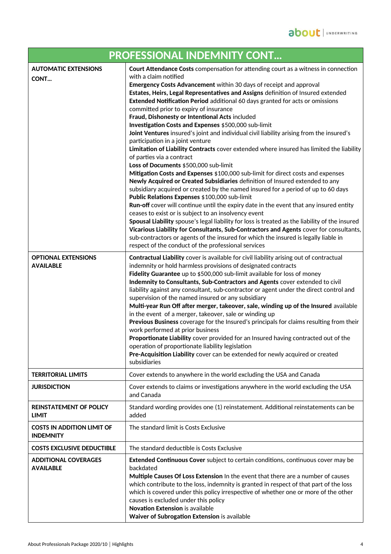| PROFESSIONAL INDEMNITY CONT                           |                                                                                                                                                                                                                                                                                                                                                                                                                                                                                                                                                                                                                                                                                                                                                                                                                                                                                                                                                                                                                                                                                                                                                                                                                                                                                                                                                                                                                                                                                                                                                                                                                   |  |
|-------------------------------------------------------|-------------------------------------------------------------------------------------------------------------------------------------------------------------------------------------------------------------------------------------------------------------------------------------------------------------------------------------------------------------------------------------------------------------------------------------------------------------------------------------------------------------------------------------------------------------------------------------------------------------------------------------------------------------------------------------------------------------------------------------------------------------------------------------------------------------------------------------------------------------------------------------------------------------------------------------------------------------------------------------------------------------------------------------------------------------------------------------------------------------------------------------------------------------------------------------------------------------------------------------------------------------------------------------------------------------------------------------------------------------------------------------------------------------------------------------------------------------------------------------------------------------------------------------------------------------------------------------------------------------------|--|
| <b>AUTOMATIC EXTENSIONS</b><br>CONT                   | Court Attendance Costs compensation for attending court as a witness in connection<br>with a claim notified<br>Emergency Costs Advancement within 30 days of receipt and approval<br>Estates, Heirs, Legal Representatives and Assigns definition of Insured extended<br>Extended Notification Period additional 60 days granted for acts or omissions<br>committed prior to expiry of insurance<br>Fraud, Dishonesty or Intentional Acts included<br>Investigation Costs and Expenses \$500,000 sub-limit<br>Joint Ventures insured's joint and individual civil liability arising from the insured's<br>participation in a joint venture<br>Limitation of Liability Contracts cover extended where insured has limited the liability<br>of parties via a contract<br>Loss of Documents \$500,000 sub-limit<br>Mitigation Costs and Expenses \$100,000 sub-limit for direct costs and expenses<br>Newly Acquired or Created Subsidiaries definition of Insured extended to any<br>subsidiary acquired or created by the named insured for a period of up to 60 days<br>Public Relations Expenses \$100,000 sub-limit<br>Run-off cover will continue until the expiry date in the event that any insured entity<br>ceases to exist or is subject to an insolvency event<br>Spousal Liability spouse's legal liability for loss is treated as the liability of the insured<br>Vicarious Liability for Consultants, Sub-Contractors and Agents cover for consultants,<br>sub-contractors or agents of the insured for which the insured is legally liable in<br>respect of the conduct of the professional services |  |
| <b>OPTIONAL EXTENSIONS</b><br><b>AVAILABLE</b>        | Contractual Liability cover is available for civil liability arising out of contractual<br>indemnity or hold harmless provisions of designated contracts<br>Fidelity Guarantee up to \$500,000 sub-limit available for loss of money<br>Indemnity to Consultants, Sub-Contractors and Agents cover extended to civil<br>liability against any consultant, sub-contractor or agent under the direct control and<br>supervision of the named insured or any subsidiary<br>Multi-year Run Off after merger, takeover, sale, winding up of the Insured available<br>in the event of a merger, takeover, sale or winding up<br>Previous Business coverage for the Insured's principals for claims resulting from their<br>work performed at prior business<br>Proportionate Liability cover provided for an Insured having contracted out of the<br>operation of proportionate liability legislation<br>Pre-Acquisition Liability cover can be extended for newly acquired or created<br>subsidiaries                                                                                                                                                                                                                                                                                                                                                                                                                                                                                                                                                                                                                  |  |
| <b>TERRITORIAL LIMITS</b>                             | Cover extends to anywhere in the world excluding the USA and Canada                                                                                                                                                                                                                                                                                                                                                                                                                                                                                                                                                                                                                                                                                                                                                                                                                                                                                                                                                                                                                                                                                                                                                                                                                                                                                                                                                                                                                                                                                                                                               |  |
| <b>JURISDICTION</b>                                   | Cover extends to claims or investigations anywhere in the world excluding the USA<br>and Canada                                                                                                                                                                                                                                                                                                                                                                                                                                                                                                                                                                                                                                                                                                                                                                                                                                                                                                                                                                                                                                                                                                                                                                                                                                                                                                                                                                                                                                                                                                                   |  |
| <b>REINSTATEMENT OF POLICY</b><br><b>LIMIT</b>        | Standard wording provides one (1) reinstatement. Additional reinstatements can be<br>added                                                                                                                                                                                                                                                                                                                                                                                                                                                                                                                                                                                                                                                                                                                                                                                                                                                                                                                                                                                                                                                                                                                                                                                                                                                                                                                                                                                                                                                                                                                        |  |
| <b>COSTS IN ADDITION LIMIT OF</b><br><b>INDEMNITY</b> | The standard limit is Costs Exclusive                                                                                                                                                                                                                                                                                                                                                                                                                                                                                                                                                                                                                                                                                                                                                                                                                                                                                                                                                                                                                                                                                                                                                                                                                                                                                                                                                                                                                                                                                                                                                                             |  |
| <b>COSTS EXCLUSIVE DEDUCTIBLE</b>                     | The standard deductible is Costs Exclusive                                                                                                                                                                                                                                                                                                                                                                                                                                                                                                                                                                                                                                                                                                                                                                                                                                                                                                                                                                                                                                                                                                                                                                                                                                                                                                                                                                                                                                                                                                                                                                        |  |
| <b>ADDITIONAL COVERAGES</b><br><b>AVAILABLE</b>       | Extended Continuous Cover subject to certain conditions, continuous cover may be<br>backdated<br>Multiple Causes Of Loss Extension In the event that there are a number of causes<br>which contribute to the loss, indemnity is granted in respect of that part of the loss<br>which is covered under this policy irrespective of whether one or more of the other<br>causes is excluded under this policy<br><b>Novation Extension is available</b><br>Waiver of Subrogation Extension is available                                                                                                                                                                                                                                                                                                                                                                                                                                                                                                                                                                                                                                                                                                                                                                                                                                                                                                                                                                                                                                                                                                              |  |